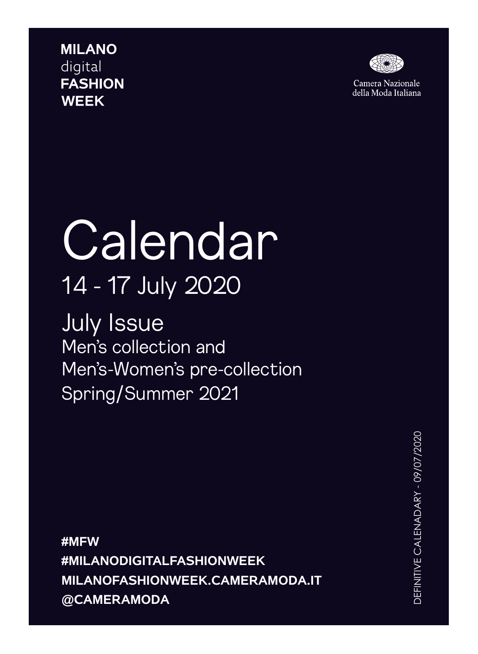**MILANO** digital **FASHION WEEK** 



Camera Nazionale della Moda Italiana

## **Calendar** 14 - 17 July 2020

July Issue Men's collection and Men's-Women's pre-collection Spring/Summer 2021

**#MFW #MILANODIGITALFASHIONWEEK MILANOFASHIONWEEK.CAMERAMODA.IT @CAMERAMODA**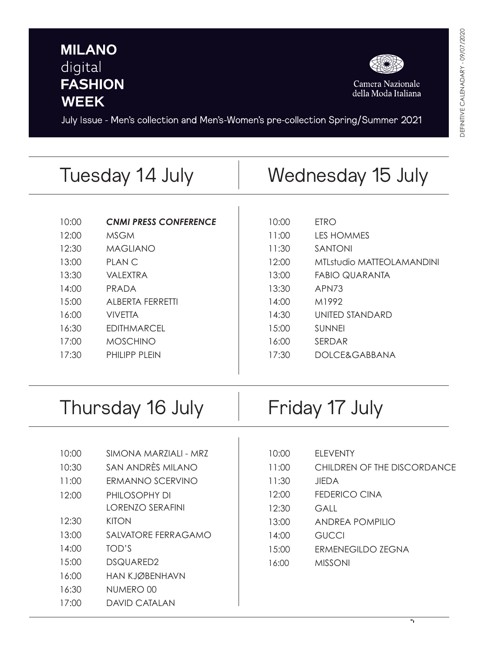## **MILANO** digital **FASHION WEEK**



Camera Nazionale<br>della Moda Italiana

July Issue - Men's collection and Men's-Women's pre-collection Spring/Summer 2021

|                  | Tuesday 14 July                          | Wednesday 15 July |                             |
|------------------|------------------------------------------|-------------------|-----------------------------|
|                  |                                          |                   |                             |
| 10:00            | <b>CNMI PRESS CONFERENCE</b>             | 10:00             | <b>ETRO</b>                 |
| 12:00            | <b>MSGM</b>                              | 11:00             | <b>LES HOMMES</b>           |
| 12:30            | <b>MAGLIANO</b>                          | 11:30             | <b>SANTONI</b>              |
| 13:00            | <b>PLANC</b>                             | 12:00             | MTLstudio MATTEOLAMANDINI   |
| 13:30            | <b>VALEXTRA</b>                          | 13:00             | <b>FABIO QUARANTA</b>       |
| 14:00            | <b>PRADA</b>                             | 13:30             | APN73                       |
| 15:00            | <b>ALBERTA FERRETTI</b>                  | 14:00             | M1992                       |
| 16:00            | <b>VIVETTA</b>                           | 14:30             | <b>UNITED STANDARD</b>      |
| 16:30            | <b>EDITHMARCEL</b>                       | 15:00             | <b>SUNNEI</b>               |
| 17:00            | <b>MOSCHINO</b>                          | 16:00             | SERDAR                      |
| 17:30            | PHILIPP PLEIN                            | 17:30             | <b>DOLCE&amp;GABBANA</b>    |
| Thursday 16 July |                                          | Friday 17 July    |                             |
| 10:00            | SIMONA MARZIALI - MRZ                    | 10:00             | <b>ELEVENTY</b>             |
| 10:30            | SAN ANDRÈS MILANO                        | 11:00             | CHILDREN OF THE DISCORDANCE |
| 11:00            | ERMANNO SCERVINO                         |                   | <b>JIEDA</b>                |
|                  |                                          | 11:30             |                             |
| 12:00            | PHILOSOPHY DI<br><b>LORENZO SERAFINI</b> | 12:00             | <b>FEDERICO CINA</b>        |
| 12:30            | <b>KITON</b>                             | 12:30             | <b>GALL</b>                 |
| 13:00            | SALVATORE FERRAGAMO                      | 13:00             | <b>ANDREA POMPILIO</b>      |
|                  |                                          | 14:00             | <b>GUCCI</b>                |
| 14:00            | TOD'S                                    | 15:00             | <b>ERMENEGILDO ZEGNA</b>    |
| 15:00            | DSQUARED2                                | 16:00             | <b>MISSONI</b>              |

- 16:30 NUMERO 00
- 17:00 DAVID CATALAN

 $\overline{\mathcal{A}}$ 

16:00 MISSONI